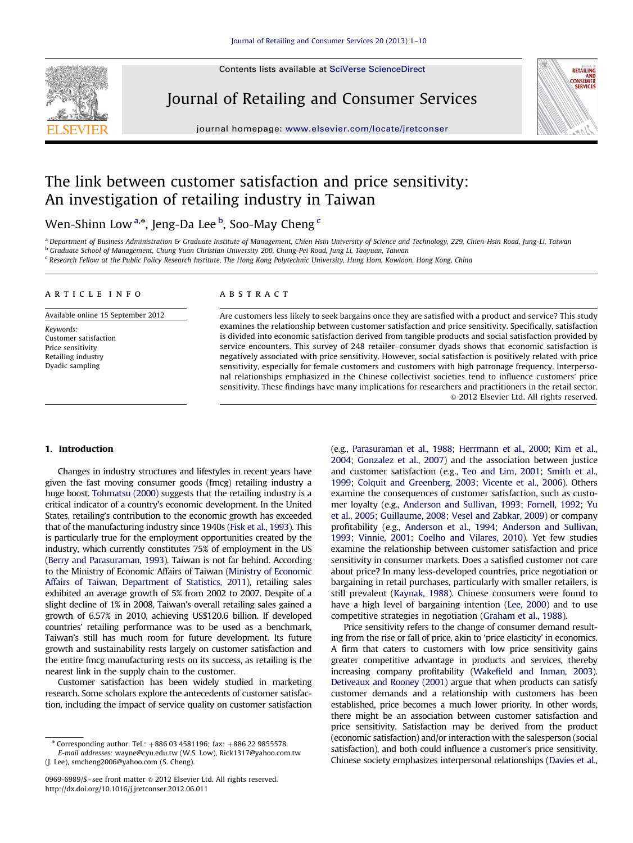Contents lists available at [SciVerse ScienceDirect](www.elsevier.com/locate/jretconser)



Journal of Retailing and Consumer Services



journal homepage: <www.elsevier.com/locate/jretconser>

## The link between customer satisfaction and price sensitivity: An investigation of retailing industry in Taiwan

Wen-Shinn Low<sup>a,</sup>\*, Jeng-Da Lee <sup>b</sup>, Soo-May Cheng <sup>c</sup>

<sup>a</sup> Department of Business Administration & Graduate Institute of Management, Chien Hsin University of Science and Technology, 229, Chien-Hsin Road, Jung-Li, Taiwan <sup>b</sup> Graduate School of Management, Chung Yuan Christian University 200, Chung-Pei Road, Jung Li, Taoyuan, Taiwan

<sup>c</sup> Research Fellow at the Public Policy Research Institute, The Hong Kong Polytechnic University, Hung Hom, Kowloon, Hong Kong, China

#### article info

Available online 15 September 2012

Keywords: Customer satisfaction Price sensitivity Retailing industry Dyadic sampling

#### **ABSTRACT**

Are customers less likely to seek bargains once they are satisfied with a product and service? This study examines the relationship between customer satisfaction and price sensitivity. Specifically, satisfaction is divided into economic satisfaction derived from tangible products and social satisfaction provided by service encounters. This survey of 248 retailer–consumer dyads shows that economic satisfaction is negatively associated with price sensitivity. However, social satisfaction is positively related with price sensitivity, especially for female customers and customers with high patronage frequency. Interpersonal relationships emphasized in the Chinese collectivist societies tend to influence customers' price sensitivity. These findings have many implications for researchers and practitioners in the retail sector.  $\odot$  2012 Elsevier Ltd. All rights reserved.

#### 1. Introduction

Changes in industry structures and lifestyles in recent years have given the fast moving consumer goods (fmcg) retailing industry a huge boost. [Tohmatsu \(2000\)](#page--1-0) suggests that the retailing industry is a critical indicator of a country's economic development. In the United States, retailing's contribution to the economic growth has exceeded that of the manufacturing industry since 1940s ([Fisk et al., 1993\)](#page--1-0). This is particularly true for the employment opportunities created by the industry, which currently constitutes 75% of employment in the US [\(Berry and Parasuraman, 1993](#page--1-0)). Taiwan is not far behind. According to the Ministry of Economic Affairs of Taiwan [\(Ministry of Economic](#page--1-0) [Affairs of Taiwan, Department of Statistics, 2011\)](#page--1-0), retailing sales exhibited an average growth of 5% from 2002 to 2007. Despite of a slight decline of 1% in 2008, Taiwan's overall retailing sales gained a growth of 6.57% in 2010, achieving US\$120.6 billion. If developed countries' retailing performance was to be used as a benchmark, Taiwan's still has much room for future development. Its future growth and sustainability rests largely on customer satisfaction and the entire fmcg manufacturing rests on its success, as retailing is the nearest link in the supply chain to the customer.

Customer satisfaction has been widely studied in marketing research. Some scholars explore the antecedents of customer satisfaction, including the impact of service quality on customer satisfaction (e.g., [Parasuraman et al., 1988](#page--1-0); [Herrmann et al., 2000;](#page--1-0) [Kim et al.,](#page--1-0) [2004](#page--1-0); [Gonzalez et al., 2007\)](#page--1-0) and the association between justice and customer satisfaction (e.g., [Teo and Lim, 2001](#page--1-0); [Smith et al.,](#page--1-0) [1999](#page--1-0); [Colquit and Greenberg, 2003;](#page--1-0) [Vicente et al., 2006](#page--1-0)). Others examine the consequences of customer satisfaction, such as customer loyalty (e.g., [Anderson and Sullivan, 1993;](#page--1-0) [Fornell, 1992](#page--1-0); [Yu](#page--1-0) [et al., 2005;](#page--1-0) [Guillaume, 2008;](#page--1-0) [Vesel and Zabkar, 2009](#page--1-0)) or company profitability (e.g., [Anderson et al., 1994;](#page--1-0) [Anderson and Sullivan,](#page--1-0) [1993](#page--1-0); [Vinnie, 2001;](#page--1-0) [Coelho and Vilares, 2010](#page--1-0)). Yet few studies examine the relationship between customer satisfaction and price sensitivity in consumer markets. Does a satisfied customer not care about price? In many less-developed countries, price negotiation or bargaining in retail purchases, particularly with smaller retailers, is still prevalent ([Kaynak, 1988](#page--1-0)). Chinese consumers were found to have a high level of bargaining intention ([Lee, 2000](#page--1-0)) and to use competitive strategies in negotiation [\(Graham et al., 1988](#page--1-0)).

Price sensitivity refers to the change of consumer demand resulting from the rise or fall of price, akin to 'price elasticity' in economics. A firm that caters to customers with low price sensitivity gains greater competitive advantage in products and services, thereby increasing company profitability ([Wakefield and Inman, 2003\)](#page--1-0). [Detiveaux and Rooney \(2001\)](#page--1-0) argue that when products can satisfy customer demands and a relationship with customers has been established, price becomes a much lower priority. In other words, there might be an association between customer satisfaction and price sensitivity. Satisfaction may be derived from the product (economic satisfaction) and/or interaction with the salesperson (social satisfaction), and both could influence a customer's price sensitivity. Chinese society emphasizes interpersonal relationships ([Davies et al.,](#page--1-0)

 $*$  Corresponding author. Tel.:  $+886034581196$ ; fax:  $+886229855578$ .

E-mail addresses: [wayne@cyu.edu.tw \(W.S. Low\),](mailto:wayne@cyu.edu.tw) [Rick1317@yahoo.com.tw](mailto:Rick1317@yahoo.com.tw) [\(J. Lee\),](mailto:Rick1317@yahoo.com.tw) [smcheng2006@yahoo.com \(S. Cheng\).](mailto:smcheng2006@yahoo.com)

<sup>0969-6989/\$ -</sup> see front matter @ 2012 Elsevier Ltd. All rights reserved. [http://dx.doi.org/10.1016/j.jretconser.2012.06.011](dx.doi.org/10.1016/j.jretconser.2012.06.011)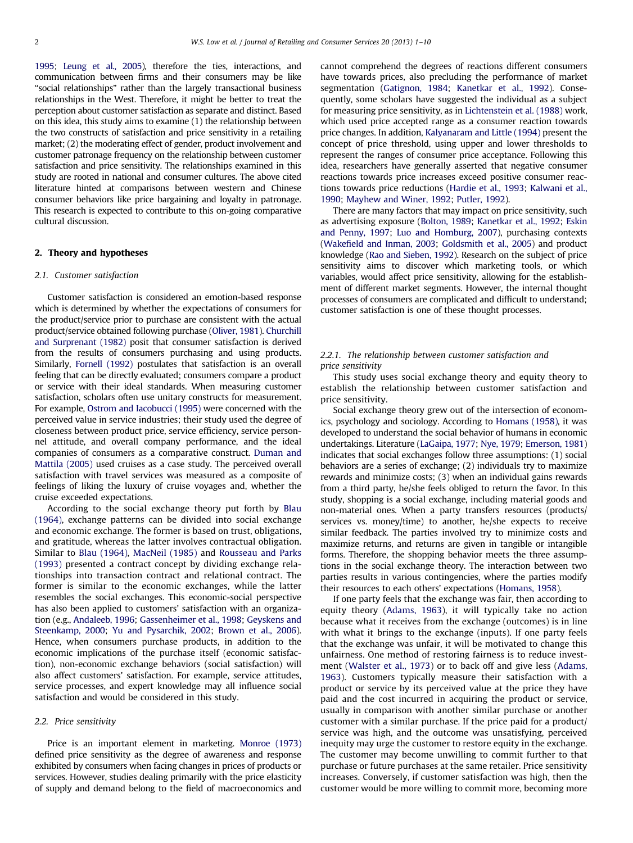[1995](#page--1-0); [Leung et al., 2005](#page--1-0)), therefore the ties, interactions, and communication between firms and their consumers may be like ''social relationships'' rather than the largely transactional business relationships in the West. Therefore, it might be better to treat the perception about customer satisfaction as separate and distinct. Based on this idea, this study aims to examine (1) the relationship between the two constructs of satisfaction and price sensitivity in a retailing market; (2) the moderating effect of gender, product involvement and customer patronage frequency on the relationship between customer satisfaction and price sensitivity. The relationships examined in this study are rooted in national and consumer cultures. The above cited literature hinted at comparisons between western and Chinese consumer behaviors like price bargaining and loyalty in patronage. This research is expected to contribute to this on-going comparative cultural discussion.

#### 2. Theory and hypotheses

#### 2.1. Customer satisfaction

Customer satisfaction is considered an emotion-based response which is determined by whether the expectations of consumers for the product/service prior to purchase are consistent with the actual product/service obtained following purchase ([Oliver, 1981\)](#page--1-0). [Churchill](#page--1-0) [and Surprenant \(1982\)](#page--1-0) posit that consumer satisfaction is derived from the results of consumers purchasing and using products. Similarly, [Fornell \(1992\)](#page--1-0) postulates that satisfaction is an overall feeling that can be directly evaluated; consumers compare a product or service with their ideal standards. When measuring customer satisfaction, scholars often use unitary constructs for measurement. For example, [Ostrom and Iacobucci \(1995\)](#page--1-0) were concerned with the perceived value in service industries; their study used the degree of closeness between product price, service efficiency, service personnel attitude, and overall company performance, and the ideal companies of consumers as a comparative construct. [Duman and](#page--1-0) [Mattila \(2005\)](#page--1-0) used cruises as a case study. The perceived overall satisfaction with travel services was measured as a composite of feelings of liking the luxury of cruise voyages and, whether the cruise exceeded expectations.

According to the social exchange theory put forth by [Blau](#page--1-0) [\(1964\)](#page--1-0), exchange patterns can be divided into social exchange and economic exchange. The former is based on trust, obligations, and gratitude, whereas the latter involves contractual obligation. Similar to [Blau \(1964\),](#page--1-0) [MacNeil \(1985\)](#page--1-0) and [Rousseau and Parks](#page--1-0) [\(1993\)](#page--1-0) presented a contract concept by dividing exchange relationships into transaction contract and relational contract. The former is similar to the economic exchanges, while the latter resembles the social exchanges. This economic-social perspective has also been applied to customers' satisfaction with an organization (e.g., [Andaleeb, 1996;](#page--1-0) [Gassenheimer et al., 1998](#page--1-0); [Geyskens and](#page--1-0) [Steenkamp, 2000;](#page--1-0) [Yu and Pysarchik, 2002](#page--1-0); [Brown et al., 2006\)](#page--1-0). Hence, when consumers purchase products, in addition to the economic implications of the purchase itself (economic satisfaction), non-economic exchange behaviors (social satisfaction) will also affect customers' satisfaction. For example, service attitudes, service processes, and expert knowledge may all influence social satisfaction and would be considered in this study.

#### 2.2. Price sensitivity

Price is an important element in marketing. [Monroe \(1973\)](#page--1-0) defined price sensitivity as the degree of awareness and response exhibited by consumers when facing changes in prices of products or services. However, studies dealing primarily with the price elasticity of supply and demand belong to the field of macroeconomics and cannot comprehend the degrees of reactions different consumers have towards prices, also precluding the performance of market segmentation [\(Gatignon, 1984](#page--1-0); [Kanetkar et al., 1992\)](#page--1-0). Consequently, some scholars have suggested the individual as a subject for measuring price sensitivity, as in [Lichtenstein et al. \(1988\)](#page--1-0) work, which used price accepted range as a consumer reaction towards price changes. In addition, [Kalyanaram and Little \(1994\)](#page--1-0) present the concept of price threshold, using upper and lower thresholds to represent the ranges of consumer price acceptance. Following this idea, researchers have generally asserted that negative consumer reactions towards price increases exceed positive consumer reactions towards price reductions [\(Hardie et al., 1993](#page--1-0); [Kalwani et al.,](#page--1-0) [1990](#page--1-0); [Mayhew and Winer, 1992](#page--1-0); [Putler, 1992](#page--1-0)).

There are many factors that may impact on price sensitivity, such as advertising exposure [\(Bolton, 1989](#page--1-0); [Kanetkar et al., 1992](#page--1-0); [Eskin](#page--1-0) [and Penny, 1997;](#page--1-0) [Luo and Homburg, 2007](#page--1-0)), purchasing contexts ([Wakefield and Inman, 2003;](#page--1-0) [Goldsmith et al., 2005](#page--1-0)) and product knowledge ([Rao and Sieben, 1992](#page--1-0)). Research on the subject of price sensitivity aims to discover which marketing tools, or which variables, would affect price sensitivity, allowing for the establishment of different market segments. However, the internal thought processes of consumers are complicated and difficult to understand; customer satisfaction is one of these thought processes.

### 2.2.1. The relationship between customer satisfaction and price sensitivity

This study uses social exchange theory and equity theory to establish the relationship between customer satisfaction and price sensitivity.

Social exchange theory grew out of the intersection of economics, psychology and sociology. According to [Homans \(1958\),](#page--1-0) it was developed to understand the social behavior of humans in economic undertakings. Literature [\(LaGaipa, 1977](#page--1-0); [Nye, 1979;](#page--1-0) [Emerson, 1981\)](#page--1-0) indicates that social exchanges follow three assumptions: (1) social behaviors are a series of exchange; (2) individuals try to maximize rewards and minimize costs; (3) when an individual gains rewards from a third party, he/she feels obliged to return the favor. In this study, shopping is a social exchange, including material goods and non-material ones. When a party transfers resources (products/ services vs. money/time) to another, he/she expects to receive similar feedback. The parties involved try to minimize costs and maximize returns, and returns are given in tangible or intangible forms. Therefore, the shopping behavior meets the three assumptions in the social exchange theory. The interaction between two parties results in various contingencies, where the parties modify their resources to each others' expectations [\(Homans, 1958](#page--1-0)).

If one party feels that the exchange was fair, then according to equity theory ([Adams, 1963](#page--1-0)), it will typically take no action because what it receives from the exchange (outcomes) is in line with what it brings to the exchange (inputs). If one party feels that the exchange was unfair, it will be motivated to change this unfairness. One method of restoring fairness is to reduce investment [\(Walster et al., 1973](#page--1-0)) or to back off and give less ([Adams,](#page--1-0) [1963\)](#page--1-0). Customers typically measure their satisfaction with a product or service by its perceived value at the price they have paid and the cost incurred in acquiring the product or service, usually in comparison with another similar purchase or another customer with a similar purchase. If the price paid for a product/ service was high, and the outcome was unsatisfying, perceived inequity may urge the customer to restore equity in the exchange. The customer may become unwilling to commit further to that purchase or future purchases at the same retailer. Price sensitivity increases. Conversely, if customer satisfaction was high, then the customer would be more willing to commit more, becoming more